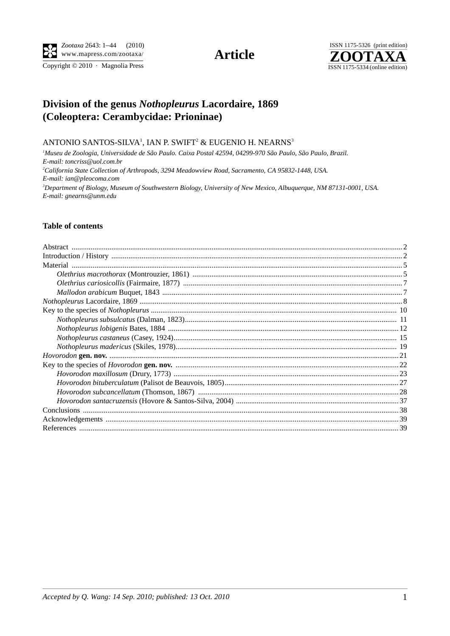Copyright © 2010 · Magnolia Press

# **Article**



# Division of the genus Nothopleurus Lacordaire, 1869 (Coleoptera: Cerambycidae: Prioninae)

### ANTONIO SANTOS-SILVA<sup>1</sup>, IAN P. SWIFT<sup>2</sup> & EUGENIO H. NEARNS<sup>3</sup>

<sup>1</sup>Museu de Zoologia, Universidade de São Paulo. Caixa Postal 42594, 04299-970 São Paulo, São Paulo, Brazil. E-mail: toncriss@uol.com.br <sup>2</sup>California State Collection of Arthropods, 3294 Meadowview Road, Sacramento, CA 95832-1448, USA. E-mail: ian@pleocoma.com <sup>3</sup>Department of Biology, Museum of Southwestern Biology, University of New Mexico, Albuquerque, NM 87131-0001, USA. E-mail: gnearns@unm.edu

## **Table of contents**